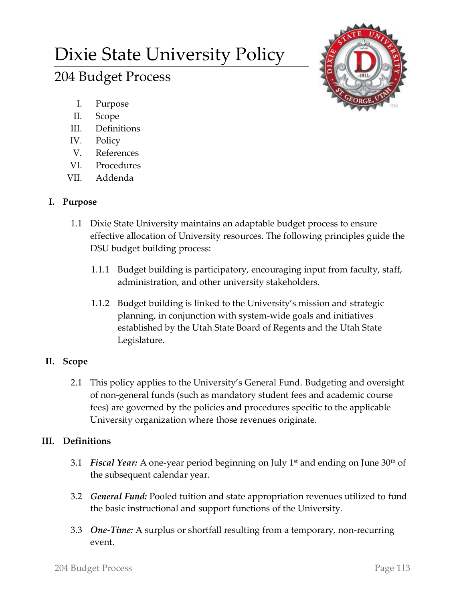# Dixie State University Policy

# 204 Budget Process

- I. Purpose
- II. Scope
- III. Definitions
- IV. Policy
- V. References
- VI. Procedures
- VII. Addenda

# **I. Purpose**

- 1.1 Dixie State University maintains an adaptable budget process to ensure effective allocation of University resources. The following principles guide the DSU budget building process:
	- 1.1.1 Budget building is participatory, encouraging input from faculty, staff, administration, and other university stakeholders.
	- 1.1.2 Budget building is linked to the University's mission and strategic planning, in conjunction with system-wide goals and initiatives established by the Utah State Board of Regents and the Utah State Legislature.

# **II. Scope**

2.1 This policy applies to the University's General Fund. Budgeting and oversight of non-general funds (such as mandatory student fees and academic course fees) are governed by the policies and procedures specific to the applicable University organization where those revenues originate.

## **III. Definitions**

- 3.1 *Fiscal Year:* A one-year period beginning on July 1<sup>st</sup> and ending on June 30<sup>th</sup> of the subsequent calendar year.
- 3.2 *General Fund:* Pooled tuition and state appropriation revenues utilized to fund the basic instructional and support functions of the University.
- 3.3 *One-Time:* A surplus or shortfall resulting from a temporary, non-recurring event.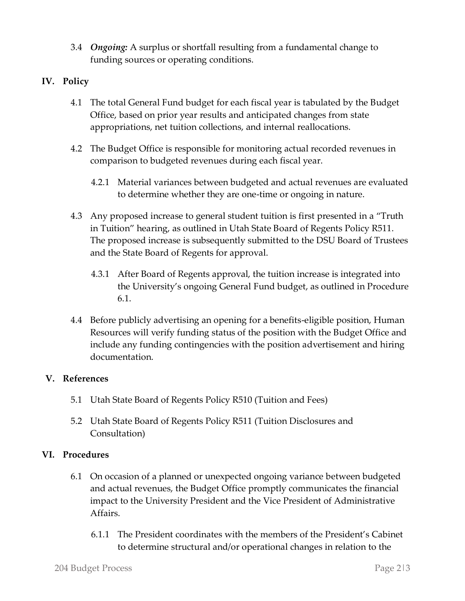3.4 *Ongoing:* A surplus or shortfall resulting from a fundamental change to funding sources or operating conditions.

#### **IV. Policy**

- 4.1 The total General Fund budget for each fiscal year is tabulated by the Budget Office, based on prior year results and anticipated changes from state appropriations, net tuition collections, and internal reallocations.
- 4.2 The Budget Office is responsible for monitoring actual recorded revenues in comparison to budgeted revenues during each fiscal year.
	- 4.2.1 Material variances between budgeted and actual revenues are evaluated to determine whether they are one-time or ongoing in nature.
- 4.3 Any proposed increase to general student tuition is first presented in a "Truth in Tuition" hearing, as outlined in Utah State Board of Regents Policy R511. The proposed increase is subsequently submitted to the DSU Board of Trustees and the State Board of Regents for approval.
	- 4.3.1 After Board of Regents approval, the tuition increase is integrated into the University's ongoing General Fund budget, as outlined in Procedure 6.1.
- 4.4 Before publicly advertising an opening for a benefits-eligible position, Human Resources will verify funding status of the position with the Budget Office and include any funding contingencies with the position advertisement and hiring documentation.

#### **V. References**

- 5.1 Utah State Board of Regents Policy R510 (Tuition and Fees)
- 5.2 Utah State Board of Regents Policy R511 (Tuition Disclosures and Consultation)

#### **VI. Procedures**

- 6.1 On occasion of a planned or unexpected ongoing variance between budgeted and actual revenues, the Budget Office promptly communicates the financial impact to the University President and the Vice President of Administrative Affairs.
	- 6.1.1 The President coordinates with the members of the President's Cabinet to determine structural and/or operational changes in relation to the